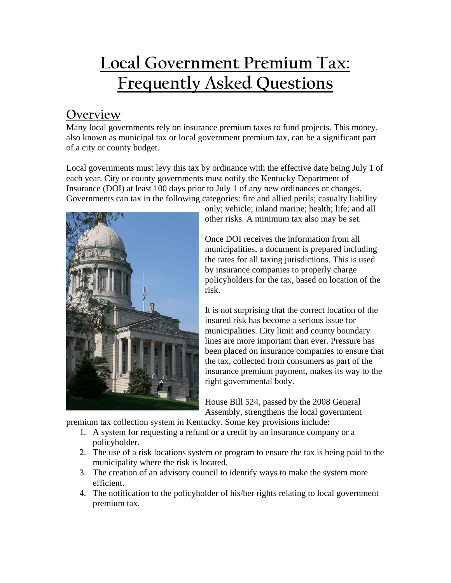# **Local Government Premium Tax: Frequently Asked Questions**

### **Overview**

Many local governments rely on insurance premium taxes to fund projects. This money, also known as municipal tax or local government premium tax, can be a significant part of a city or county budget.

Local governments must levy this tax by ordinance with the effective date being July 1 of each year. City or county governments must notify the Kentucky Department of Insurance (DOI) at least 100 days prior to July 1 of any new ordinances or changes. Governments can tax in the following categories: fire and allied perils; casualty liability



only; vehicle; inland marine; health; life; and all other risks. A minimum tax also may be set.

Once DOI receives the information from all municipalities, a document is prepared including the rates for all taxing jurisdictions. This is used by insurance companies to properly charge policyholders for the tax, based on location of the risk.

It is not surprising that the correct location of the insured risk has become a serious issue for municipalities. City limit and county boundary lines are more important than ever. Pressure has been placed on insurance companies to ensure that the tax, collected from consumers as part of the insurance premium payment, makes its way to the right governmental body.

House Bill 524, passed by the 2008 General Assembly, strengthens the local government

premium tax collection system in Kentucky. Some key provisions include:

- 1. A system for requesting a refund or a credit by an insurance company or a policyholder.
- 2. The use of a risk locations system or program to ensure the tax is being paid to the municipality where the risk is located.
- 3. The creation of an advisory council to identify ways to make the system more efficient.
- 4. The notification to the policyholder of his/her rights relating to local government premium tax.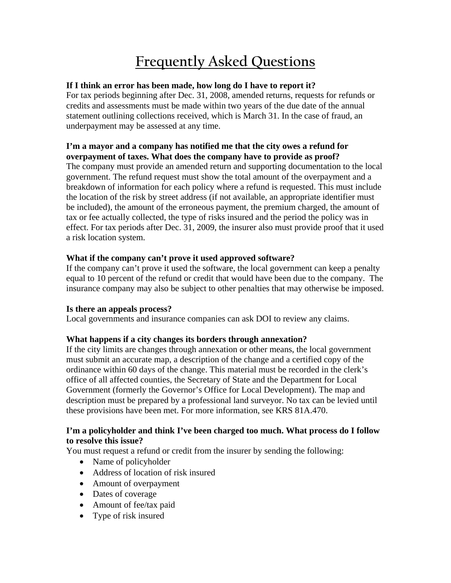## **Frequently Asked Questions**

#### **If I think an error has been made, how long do I have to report it?**

For tax periods beginning after Dec. 31, 2008, amended returns, requests for refunds or credits and assessments must be made within two years of the due date of the annual statement outlining collections received, which is March 31. In the case of fraud, an underpayment may be assessed at any time.

#### **I'm a mayor and a company has notified me that the city owes a refund for overpayment of taxes. What does the company have to provide as proof?**

The company must provide an amended return and supporting documentation to the local government. The refund request must show the total amount of the overpayment and a breakdown of information for each policy where a refund is requested. This must include the location of the risk by street address (if not available, an appropriate identifier must be included), the amount of the erroneous payment, the premium charged, the amount of tax or fee actually collected, the type of risks insured and the period the policy was in effect. For tax periods after Dec. 31, 2009, the insurer also must provide proof that it used a risk location system.

#### **What if the company can't prove it used approved software?**

If the company can't prove it used the software, the local government can keep a penalty equal to 10 percent of the refund or credit that would have been due to the company. The insurance company may also be subject to other penalties that may otherwise be imposed.

#### **Is there an appeals process?**

Local governments and insurance companies can ask DOI to review any claims.

#### **What happens if a city changes its borders through annexation?**

If the city limits are changes through annexation or other means, the local government must submit an accurate map, a description of the change and a certified copy of the ordinance within 60 days of the change. This material must be recorded in the clerk's office of all affected counties, the Secretary of State and the Department for Local Government (formerly the Governor's Office for Local Development). The map and description must be prepared by a professional land surveyor. No tax can be levied until these provisions have been met. For more information, see KRS 81A.470.

#### **I'm a policyholder and think I've been charged too much. What process do I follow to resolve this issue?**

You must request a refund or credit from the insurer by sending the following:

- Name of policyholder
- Address of location of risk insured
- Amount of overpayment
- Dates of coverage
- Amount of fee/tax paid
- Type of risk insured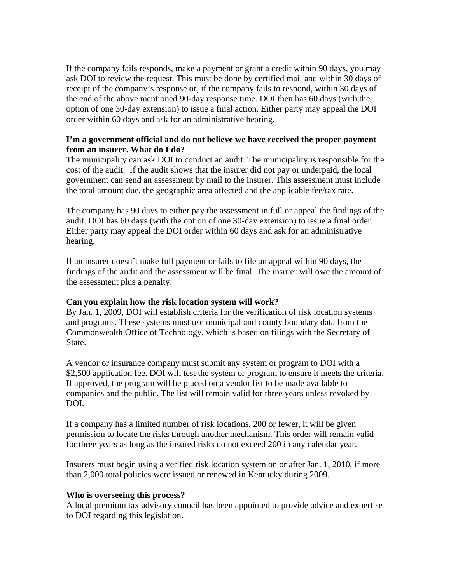If the company fails responds, make a payment or grant a credit within 90 days, you may ask DOI to review the request. This must be done by certified mail and within 30 days of receipt of the company's response or, if the company fails to respond, within 30 days of the end of the above mentioned 90-day response time. DOI then has 60 days (with the option of one 30-day extension) to issue a final action. Either party may appeal the DOI order within 60 days and ask for an administrative hearing.

#### **I'm a government official and do not believe we have received the proper payment from an insurer. What do I do?**

The municipality can ask DOI to conduct an audit. The municipality is responsible for the cost of the audit. If the audit shows that the insurer did not pay or underpaid, the local government can send an assessment by mail to the insurer. This assessment must include the total amount due, the geographic area affected and the applicable fee/tax rate.

The company has 90 days to either pay the assessment in full or appeal the findings of the audit. DOI has 60 days (with the option of one 30-day extension) to issue a final order. Either party may appeal the DOI order within 60 days and ask for an administrative hearing.

If an insurer doesn't make full payment or fails to file an appeal within 90 days, the findings of the audit and the assessment will be final. The insurer will owe the amount of the assessment plus a penalty.

#### **Can you explain how the risk location system will work?**

By Jan. 1, 2009, DOI will establish criteria for the verification of risk location systems and programs. These systems must use municipal and county boundary data from the Commonwealth Office of Technology, which is based on filings with the Secretary of State.

A vendor or insurance company must submit any system or program to DOI with a \$2,500 application fee. DOI will test the system or program to ensure it meets the criteria. If approved, the program will be placed on a vendor list to be made available to companies and the public. The list will remain valid for three years unless revoked by DOI.

If a company has a limited number of risk locations, 200 or fewer, it will be given permission to locate the risks through another mechanism. This order will remain valid for three years as long as the insured risks do not exceed 200 in any calendar year.

Insurers must begin using a verified risk location system on or after Jan. 1, 2010, if more than 2,000 total policies were issued or renewed in Kentucky during 2009.

#### **Who is overseeing this process?**

A local premium tax advisory council has been appointed to provide advice and expertise to DOI regarding this legislation.